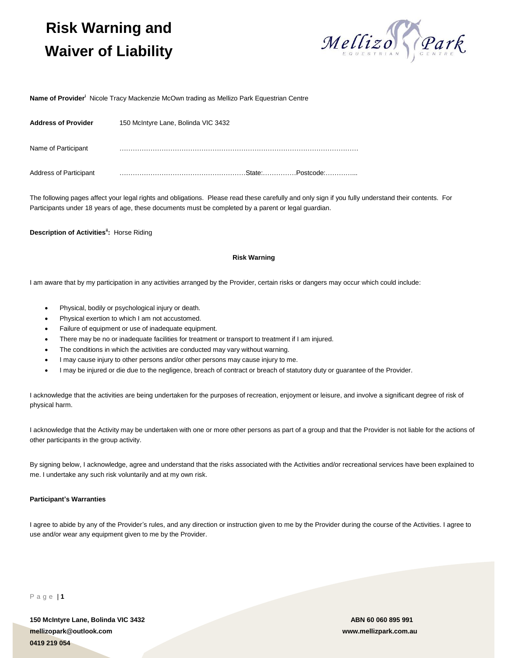# **Risk Warning and Waiver of Liability**



**Name of Provider<sup>i</sup>** Nicole Tracy Mackenzie McOwn trading as Mellizo Park Equestrian Centre

| <b>Address of Provider</b>    | 150 McIntyre Lane, Bolinda VIC 3432 |
|-------------------------------|-------------------------------------|
| Name of Participant           |                                     |
| <b>Address of Participant</b> | State:<br>Postcode:                 |

The following pages affect your legal rights and obligations. Please read these carefully and only sign if you fully understand their contents. For Participants under 18 years of age, these documents must be completed by a parent or legal guardian.

**Description of Activitiesii:** Horse Riding

## **Risk Warning**

I am aware that by my participation in any activities arranged by the Provider, certain risks or dangers may occur which could include:

- Physical, bodily or psychological injury or death.
- Physical exertion to which I am not accustomed.
- Failure of equipment or use of inadequate equipment.
- There may be no or inadequate facilities for treatment or transport to treatment if I am injured.
- The conditions in which the activities are conducted may vary without warning.
- I may cause injury to other persons and/or other persons may cause injury to me.
- I may be injured or die due to the negligence, breach of contract or breach of statutory duty or guarantee of the Provider.

I acknowledge that the activities are being undertaken for the purposes of recreation, enjoyment or leisure, and involve a significant degree of risk of physical harm.

I acknowledge that the Activity may be undertaken with one or more other persons as part of a group and that the Provider is not liable for the actions of other participants in the group activity.

By signing below, I acknowledge, agree and understand that the risks associated with the Activities and/or recreational services have been explained to me. I undertake any such risk voluntarily and at my own risk.

### **Participant's Warranties**

I agree to abide by any of the Provider's rules, and any direction or instruction given to me by the Provider during the course of the Activities. I agree to use and/or wear any equipment given to me by the Provider.

P a g e | **1**

**150 McIntyre Lane, Bolinda VIC 3432 ABN 60 060 895 991 mellizopark@outlook.com www.mellizpark.com.au 0419 219 054**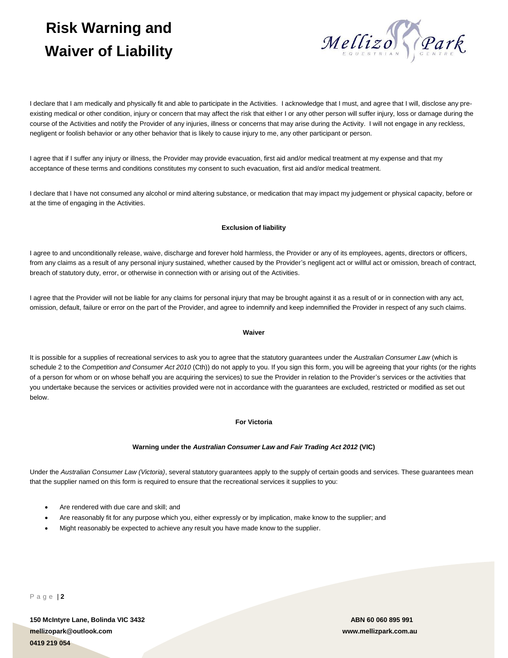# **Risk Warning and Waiver of Liability**



I declare that I am medically and physically fit and able to participate in the Activities. I acknowledge that I must, and agree that I will, disclose any preexisting medical or other condition, injury or concern that may affect the risk that either I or any other person will suffer injury, loss or damage during the course of the Activities and notify the Provider of any injuries, illness or concerns that may arise during the Activity. I will not engage in any reckless, negligent or foolish behavior or any other behavior that is likely to cause injury to me, any other participant or person.

I agree that if I suffer any injury or illness, the Provider may provide evacuation, first aid and/or medical treatment at my expense and that my acceptance of these terms and conditions constitutes my consent to such evacuation, first aid and/or medical treatment.

I declare that I have not consumed any alcohol or mind altering substance, or medication that may impact my judgement or physical capacity, before or at the time of engaging in the Activities.

## **Exclusion of liability**

I agree to and unconditionally release, waive, discharge and forever hold harmless, the Provider or any of its employees, agents, directors or officers, from any claims as a result of any personal injury sustained, whether caused by the Provider's negligent act or willful act or omission, breach of contract, breach of statutory duty, error, or otherwise in connection with or arising out of the Activities.

I agree that the Provider will not be liable for any claims for personal injury that may be brought against it as a result of or in connection with any act, omission, default, failure or error on the part of the Provider, and agree to indemnify and keep indemnified the Provider in respect of any such claims.

### **Waiver**

It is possible for a supplies of recreational services to ask you to agree that the statutory guarantees under the *Australian Consumer Law* (which is schedule 2 to the *Competition and Consumer Act 2010* (Cth)) do not apply to you. If you sign this form, you will be agreeing that your rights (or the rights of a person for whom or on whose behalf you are acquiring the services) to sue the Provider in relation to the Provider's services or the activities that you undertake because the services or activities provided were not in accordance with the guarantees are excluded, restricted or modified as set out below.

# **For Victoria**

## **Warning under the** *Australian Consumer Law and Fair Trading Act 2012* **(VIC)**

Under the *Australian Consumer Law (Victoria)*, several statutory guarantees apply to the supply of certain goods and services. These guarantees mean that the supplier named on this form is required to ensure that the recreational services it supplies to you:

- Are rendered with due care and skill; and
- Are reasonably fit for any purpose which you, either expressly or by implication, make know to the supplier; and
- Might reasonably be expected to achieve any result you have made know to the supplier.

P a g e | **2**

**150 McIntyre Lane, Bolinda VIC 3432 ABN 60 060 895 991 mellizopark@outlook.com www.mellizpark.com.au 0419 219 054**